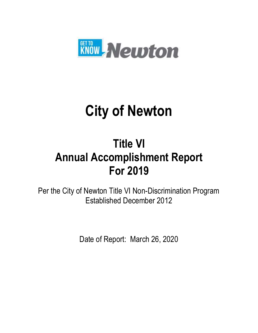

# **City of Newton**

# **Title VI Annual Accomplishment Report For 2019**

Per the City of Newton Title VI Non-Discrimination Program Established December 2012

Date of Report: March 26, 2020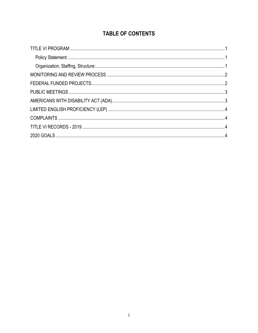# **TABLE OF CONTENTS**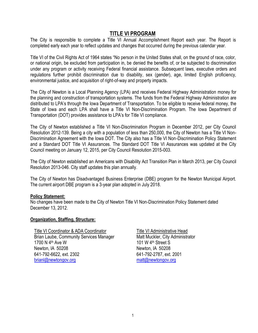#### **TITLE VI PROGRAM**

<span id="page-2-0"></span>The City is responsible to complete a Title VI Annual Accomplishment Report each year. The Report is completed early each year to reflect updates and changes that occurred during the previous calendar year.

Title VI of the Civil Rights Act of 1964 states "No person in the United States shall, on the ground of race, color, or national origin, be excluded from participation in, be denied the benefits of, or be subjected to discrimination under any program or activity receiving Federal financial assistance. Subsequent laws, executive orders and regulations further prohibit discrimination due to disability, sex (gender), age, limited English proficiency, environmental justice, and acquisition of right-of-way and property impacts.

The City of Newton is a Local Planning Agency (LPA) and receives Federal Highway Administration money for the planning and construction of transportation systems. The funds from the Federal Highway Administration are distributed to LPA's through the Iowa Department of Transportation. To be eligible to receive federal money, the State of Iowa and each LPA shall have a Title VI Non-Discrimination Program. The Iowa Department of Transportation (DOT) provides assistance to LPA's for Title VI compliance.

The City of Newton established a Title VI Non-Discrimination Program in December 2012, per City Council Resolution 2012-139. Being a city with a population of less than 250,000, the City of Newton has a Title VI Non-Discrimination Agreement with the Iowa DOT. The City also has a Title VI Non-Discrimination Policy Statement and a Standard DOT Title VI Assurances. The Standard DOT Title VI Assurances was updated at the City Council meeting on January 12, 2015, per City Council Resolution 2015-003.

The City of Newton established an Americans with Disability Act Transition Plan in March 2013, per City Council Resolution 2013-046. City staff updates this plan annually.

The City of Newton has Disadvantaged Business Enterprise (DBE) program for the Newton Municipal Airport. The current airport DBE program is a 3-year plan adopted in July 2018.

#### <span id="page-2-1"></span>**Policy Statement:**

No changes have been made to the City of Newton Title VI Non-Discrimination Policy Statement dated December 13, 2012.

#### <span id="page-2-2"></span>**Organization, Staffing, Structure:**

<span id="page-2-3"></span>Title VI Coordinator & ADA Coordinator Title VI Administrative Head Brian Laube, Community Services Manager Matt Muckler, City Administrator 1700 N 4<sup>th</sup> Ave W 101 W 4<sup>th</sup> Street S Newton, IA 50208 Newton, IA 50208 641-792-6622, ext. 2302 641-792-2787, ext. 2001 [brianl@newtongov.org](mailto:brianl@newtongov.org) [matt@newtongov.org](mailto:matt@newtongov.org)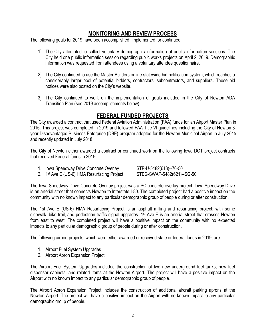#### **MONITORING AND REVIEW PROCESS**

The following goals for 2019 have been accomplished, implemented, or continued:

- 1) The City attempted to collect voluntary demographic information at public information sessions. The City held one public information session regarding public works projects on April 2, 2019. Demographic information was requested from attendees using a voluntary attendee questionnaire.
- 2) The City continued to use the Master Builders online statewide bid notification system, which reaches a considerably larger pool of potential bidders, contractors, subcontractors, and suppliers. These bid notices were also posted on the City's website.
- 3) The City continued to work on the implementation of goals included in the City of Newton ADA Transition Plan (see 2019 accomplishments below).

## **FEDERAL FUNDED PROJECTS**

<span id="page-3-0"></span>The City awarded a contract that used Federal Aviation Administration (FAA) funds for an Airport Master Plan in 2016. This project was completed in 2019 and followed FAA Title VI guidelines including the City of Newton 3 year Disadvantaged Business Enterprise (DBE) program adopted for the Newton Municipal Airport in July 2015 and recently updated in July 2018.

The City of Newton either awarded a contract or continued work on the following Iowa DOT project contracts that received Federal funds in 2019:

1. Iowa Speedway Drive Concrete Overlay STP-U-5482(613)--70-50

2. 1st Ave E (US-6) HMA Resurfacing Project STBG-SWAP-5482(621)--SG-50

The Iowa Speedway Drive Concrete Overlay project was a PC concrete overlay project. Iowa Speedway Drive is an arterial street that connects Newton to Interstate I-80. The completed project had a positive impact on the community with no known impact to any particular demographic group of people during or after construction.

The 1st Ave E (US-6) HMA Resurfacing Project is an asphalt milling and resurfacing project; with some sidewalk, bike trail, and pedestrian traffic signal upgrades. 1<sup>st</sup> Ave E is an arterial street that crosses Newton from east to west. The completed project will have a positive impact on the community with no expected impacts to any particular demographic group of people during or after construction.

The following airport projects, which were either awarded or received state or federal funds in 2019, are:

- 1. Airport Fuel System Upgrades
- 2. Airport Apron Expansion Project

The Airport Fuel System Upgrades included the construction of two new underground fuel tanks, new fuel dispenser cabinets, and related items at the Newton Airport. The project will have a positive impact on the Airport with no known impact to any particular demographic group of people.

The Airport Apron Expansion Project includes the construction of additional aircraft parking aprons at the Newton Airport. The project will have a positive impact on the Airport with no known impact to any particular demographic group of people.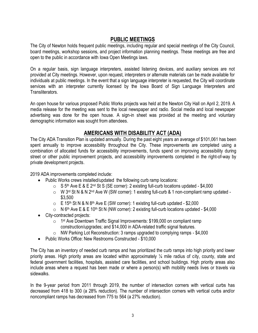## **PUBLIC MEETINGS**

<span id="page-4-0"></span>The City of Newton holds frequent public meetings, including regular and special meetings of the City Council, board meetings, workshop sessions, and project information planning meetings. These meetings are free and open to the public in accordance with Iowa Open Meetings laws.

On a regular basis, sign language interpreters, assisted listening devices, and auxiliary services are not provided at City meetings. However, upon request, interpreters or alternate materials can be made available for individuals at public meetings. In the event that a sign language interpreter is requested, the City will coordinate services with an interpreter currently licensed by the Iowa Board of Sign Language Interpreters and Transliterators.

An open house for various proposed Public Works projects was held at the Newton City Hall on April 2, 2019. A media release for the meeting was sent to the local newspaper and radio. Social media and local newspaper advertising was done for the open house. A sign-in sheet was provided at the meeting and voluntary demographic information was sought from attendees.

#### **AMERICANS WITH DISABILITY ACT (ADA)**

<span id="page-4-1"></span>The City ADA Transition Plan is updated annually. During the past eight years an average of \$101,061 has been spent annually to improve accessibility throughout the City. These improvements are completed using a combination of allocated funds for accessibility improvements, funds spend on improving accessibility during street or other public improvement projects, and accessibility improvements completed in the right-of-way by private development projects.

2019 ADA improvements completed include:

- Public Works crews installed/updated the following curb ramp locations:
	- $\circ$  S 5<sup>th</sup> Ave E & E 2<sup>nd</sup> St S (SE corner): 2 existing full-curb locations updated \$4,000
	- $\circ$  W 3<sup>rd</sup> St N & N 2<sup>nd</sup> Ave W (SW corner): 1 existing full-curb & 1 non-compliant ramp updated -\$3,500
	- $\circ$  E 15<sup>th</sup> St N & N 8<sup>th</sup> Ave E (SW corner): 1 existing full-curb updated \$2,000
	- $\circ$  N 6<sup>th</sup> Ave E & E 10<sup>th</sup> St N (NW corner): 2 existing full-curb locations updated \$4,000
- City-contracted projects:
	- 1<sup>st</sup> Ave Downtown Traffic Signal Improvements: \$199,000 on compliant ramp construction/upgrades; and \$14,000 in ADA-related traffic signal features.
	- o NW Parking Lot Reconstruction: 3 ramps upgraded to complying ramps \$4,000
- Public Works Office: New Restrooms Constructed \$10,000

The City has an inventory of needed curb ramps and has prioritized the curb ramps into high priority and lower priority areas. High priority areas are located within approximately ¼ mile radius of city, county, state and federal government facilities, hospitals, assisted care facilities, and school buildings. High priority areas also include areas where a request has been made or where a person(s) with mobility needs lives or travels via sidewalks.

In the 9-year period from 2011 through 2019, the number of intersection corners with vertical curbs has decreased from 418 to 300 (a 28% reduction). The number of intersection corners with vertical curbs and/or noncompliant ramps has decreased from 775 to 564 (a 27% reduction).